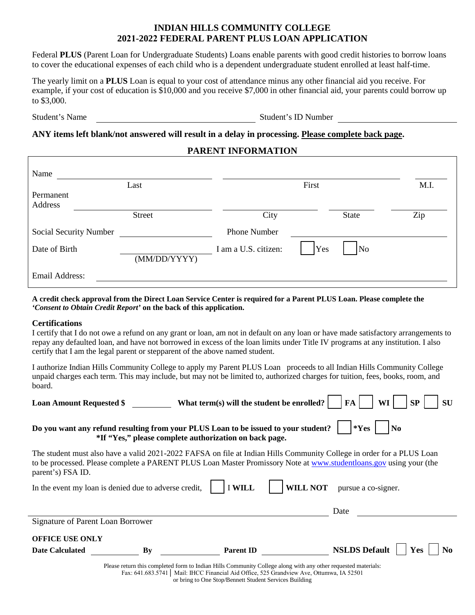# **INDIAN HILLS COMMUNITY COLLEGE 2021-2022 FEDERAL PARENT PLUS LOAN APPLICATION**

Federal **PLUS** (Parent Loan for Undergraduate Students) Loans enable parents with good credit histories to borrow loans to cover the educational expenses of each child who is a dependent undergraduate student enrolled at least half-time.

The yearly limit on a **PLUS** Loan is equal to your cost of attendance minus any other financial aid you receive. For example, if your cost of education is \$10,000 and you receive \$7,000 in other financial aid, your parents could borrow up to \$3,000.

Student's Name Student's ID Number

## **ANY items left blank/not answered will result in a delay in processing. Please complete back page.**

### **PARENT INFORMATION**

| Name                   | Last         |                      | First |                     | M.I. |
|------------------------|--------------|----------------------|-------|---------------------|------|
| Permanent              |              |                      |       |                     |      |
| Address                |              |                      |       |                     |      |
|                        | Street       | City                 |       | State               | Zip  |
| Social Security Number |              | <b>Phone Number</b>  |       |                     |      |
| Date of Birth          |              | I am a U.S. citizen: | Yes   | $\overline{\rm No}$ |      |
|                        | (MM/DD/YYYY) |                      |       |                     |      |
| Email Address:         |              |                      |       |                     |      |

**A credit check approval from the Direct Loan Service Center is required for a Parent PLUS Loan. Please complete the**  *'Consent to Obtain Credit Report'* **on the back of this application.** 

### **Certifications**

I certify that I do not owe a refund on any grant or loan, am not in default on any loan or have made satisfactory arrangements to repay any defaulted loan, and have not borrowed in excess of the loan limits under Title IV programs at any institution. I also certify that I am the legal parent or stepparent of the above named student.

I authorize Indian Hills Community College to apply my Parent PLUS Loan proceeds to all Indian Hills Community College unpaid charges each term. This may include, but may not be limited to, authorized charges for tuition, fees, books, room, and board.

| <b>Loan Amount Requested \$</b>                                                                                  | What term(s) will the student be enrolled?                                                                                                                                                                                                  | FA<br>WI<br>SP<br>SU               |  |  |  |  |
|------------------------------------------------------------------------------------------------------------------|---------------------------------------------------------------------------------------------------------------------------------------------------------------------------------------------------------------------------------------------|------------------------------------|--|--|--|--|
|                                                                                                                  | Do you want any refund resulting from your PLUS Loan to be issued to your student?<br>*If "Yes," please complete authorization on back page.                                                                                                | $*Yes$<br>$\bf No$                 |  |  |  |  |
| parent's) FSA ID.                                                                                                | The student must also have a valid 2021-2022 FAFSA on file at Indian Hills Community College in order for a PLUS Loan<br>to be processed. Please complete a PARENT PLUS Loan Master Promissory Note at www.studentloans.gov using your (the |                                    |  |  |  |  |
| pursue a co-signer.<br>In the event my loan is denied due to adverse credit,<br><b>I WILL</b><br><b>WILL NOT</b> |                                                                                                                                                                                                                                             |                                    |  |  |  |  |
|                                                                                                                  |                                                                                                                                                                                                                                             | Date                               |  |  |  |  |
| Signature of Parent Loan Borrower                                                                                |                                                                                                                                                                                                                                             |                                    |  |  |  |  |
| <b>OFFICE USE ONLY</b>                                                                                           |                                                                                                                                                                                                                                             |                                    |  |  |  |  |
| Date Calculated<br>Bv                                                                                            | <b>Parent ID</b>                                                                                                                                                                                                                            | <b>NSLDS Default</b><br>Yes<br>No. |  |  |  |  |
|                                                                                                                  | Please return this completed form to Indian Hills Community College along with any other requested materials:<br>Fax: 641.683.5741   Mail: IHCC Financial Aid Office, 525 Grandview Ave, Ottumwa, IA 52501                                  |                                    |  |  |  |  |

or bring to One Stop/Bennett Student Services Building